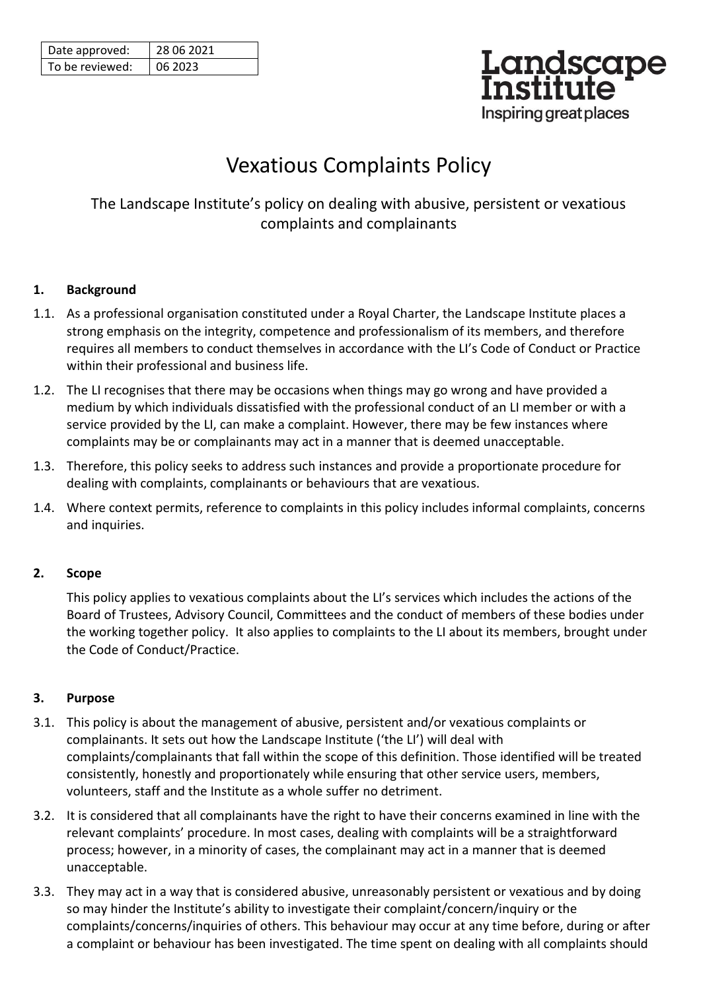| Date approved:  | 28 06 2021 |
|-----------------|------------|
| To be reviewed: | 06 2023    |

# Landscape<br>Institute Inspiring great places

# Vexatious Complaints Policy

The Landscape Institute's policy on dealing with abusive, persistent or vexatious complaints and complainants

# **1. Background**

- 1.1. As a professional organisation constituted under a Royal Charter, the Landscape Institute places a strong emphasis on the integrity, competence and professionalism of its members, and therefore requires all members to conduct themselves in accordance with the LI's Code of Conduct or Practice within their professional and business life.
- 1.2. The LI recognises that there may be occasions when things may go wrong and have provided a medium by which individuals dissatisfied with the professional conduct of an LI member or with a service provided by the LI, can make a complaint. However, there may be few instances where complaints may be or complainants may act in a manner that is deemed unacceptable.
- 1.3. Therefore, this policy seeks to address such instances and provide a proportionate procedure for dealing with complaints, complainants or behaviours that are vexatious.
- 1.4. Where context permits, reference to complaints in this policy includes informal complaints, concerns and inquiries.

# **2. Scope**

This policy applies to vexatious complaints about the LI's services which includes the actions of the Board of Trustees, Advisory Council, Committees and the conduct of members of these bodies under the working together policy. It also applies to complaints to the LI about its members, brought under the Code of Conduct/Practice.

# **3. Purpose**

- 3.1. This policy is about the management of abusive, persistent and/or vexatious complaints or complainants. It sets out how the Landscape Institute ('the LI') will deal with complaints/complainants that fall within the scope of this definition. Those identified will be treated consistently, honestly and proportionately while ensuring that other service users, members, volunteers, staff and the Institute as a whole suffer no detriment.
- 3.2. It is considered that all complainants have the right to have their concerns examined in line with the relevant complaints' procedure. In most cases, dealing with complaints will be a straightforward process; however, in a minority of cases, the complainant may act in a manner that is deemed unacceptable.
- 3.3. They may act in a way that is considered abusive, unreasonably persistent or vexatious and by doing so may hinder the Institute's ability to investigate their complaint/concern/inquiry or the complaints/concerns/inquiries of others. This behaviour may occur at any time before, during or after a complaint or behaviour has been investigated. The time spent on dealing with all complaints should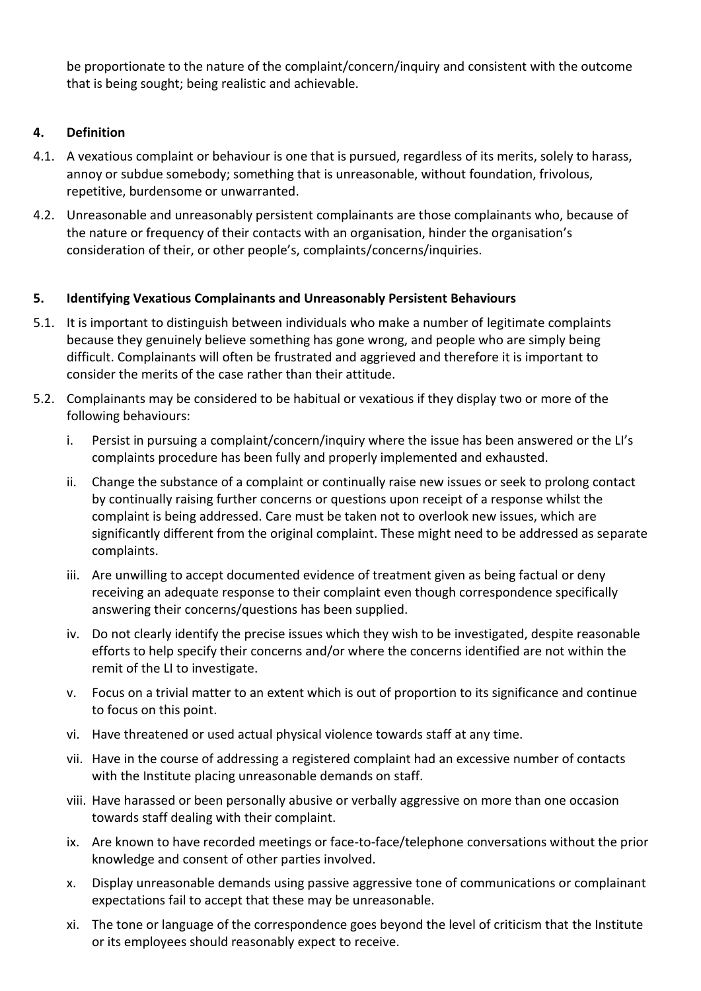be proportionate to the nature of the complaint/concern/inquiry and consistent with the outcome that is being sought; being realistic and achievable.

# **4. Definition**

- 4.1. A vexatious complaint or behaviour is one that is pursued, regardless of its merits, solely to harass, annoy or subdue somebody; something that is unreasonable, without foundation, frivolous, repetitive, burdensome or unwarranted.
- 4.2. Unreasonable and unreasonably persistent complainants are those complainants who, because of the nature or frequency of their contacts with an organisation, hinder the organisation's consideration of their, or other people's, complaints/concerns/inquiries.

# **5. Identifying Vexatious Complainants and Unreasonably Persistent Behaviours**

- 5.1. It is important to distinguish between individuals who make a number of legitimate complaints because they genuinely believe something has gone wrong, and people who are simply being difficult. Complainants will often be frustrated and aggrieved and therefore it is important to consider the merits of the case rather than their attitude.
- 5.2. Complainants may be considered to be habitual or vexatious if they display two or more of the following behaviours:
	- i. Persist in pursuing a complaint/concern/inquiry where the issue has been answered or the LI's complaints procedure has been fully and properly implemented and exhausted.
	- ii. Change the substance of a complaint or continually raise new issues or seek to prolong contact by continually raising further concerns or questions upon receipt of a response whilst the complaint is being addressed. Care must be taken not to overlook new issues, which are significantly different from the original complaint. These might need to be addressed as separate complaints.
	- iii. Are unwilling to accept documented evidence of treatment given as being factual or deny receiving an adequate response to their complaint even though correspondence specifically answering their concerns/questions has been supplied.
	- iv. Do not clearly identify the precise issues which they wish to be investigated, despite reasonable efforts to help specify their concerns and/or where the concerns identified are not within the remit of the LI to investigate.
	- v. Focus on a trivial matter to an extent which is out of proportion to its significance and continue to focus on this point.
	- vi. Have threatened or used actual physical violence towards staff at any time.
	- vii. Have in the course of addressing a registered complaint had an excessive number of contacts with the Institute placing unreasonable demands on staff.
	- viii. Have harassed or been personally abusive or verbally aggressive on more than one occasion towards staff dealing with their complaint.
	- ix. Are known to have recorded meetings or face-to-face/telephone conversations without the prior knowledge and consent of other parties involved.
	- x. Display unreasonable demands using passive aggressive tone of communications or complainant expectations fail to accept that these may be unreasonable.
	- xi. The tone or language of the correspondence goes beyond the level of criticism that the Institute or its employees should reasonably expect to receive.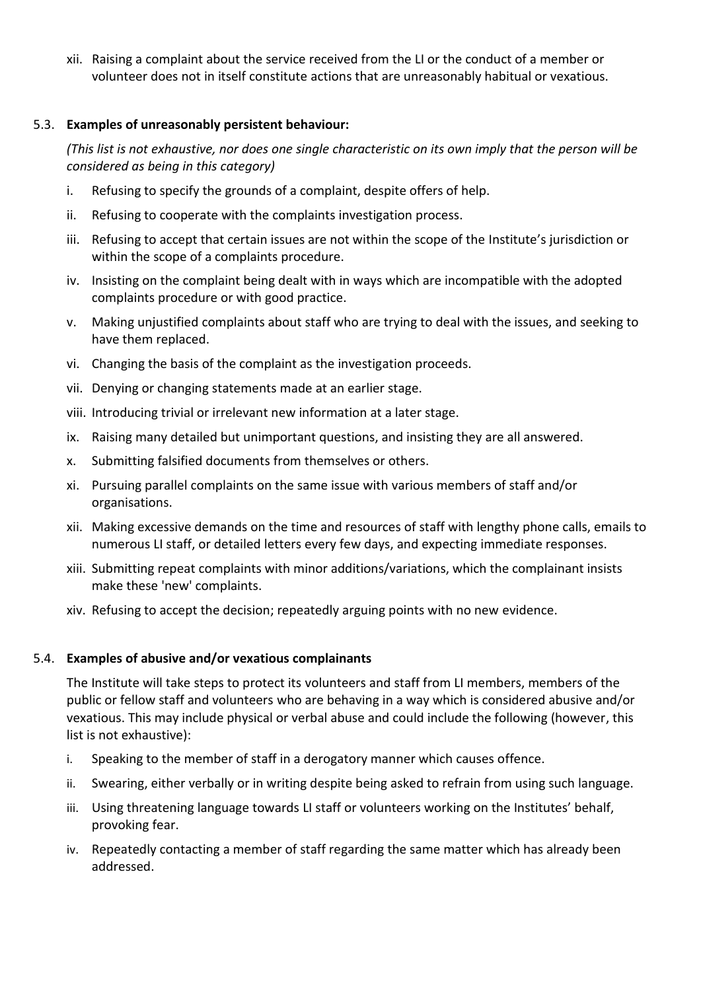xii. Raising a complaint about the service received from the LI or the conduct of a member or volunteer does not in itself constitute actions that are unreasonably habitual or vexatious.

#### 5.3. **Examples of unreasonably persistent behaviour:**

*(This list is not exhaustive, nor does one single characteristic on its own imply that the person will be considered as being in this category)*

- i. Refusing to specify the grounds of a complaint, despite offers of help.
- ii. Refusing to cooperate with the complaints investigation process.
- iii. Refusing to accept that certain issues are not within the scope of the Institute's jurisdiction or within the scope of a complaints procedure.
- iv. Insisting on the complaint being dealt with in ways which are incompatible with the adopted complaints procedure or with good practice.
- v. Making unjustified complaints about staff who are trying to deal with the issues, and seeking to have them replaced.
- vi. Changing the basis of the complaint as the investigation proceeds.
- vii. Denying or changing statements made at an earlier stage.
- viii. Introducing trivial or irrelevant new information at a later stage.
- ix. Raising many detailed but unimportant questions, and insisting they are all answered.
- x. Submitting falsified documents from themselves or others.
- xi. Pursuing parallel complaints on the same issue with various members of staff and/or organisations.
- xii. Making excessive demands on the time and resources of staff with lengthy phone calls, emails to numerous LI staff, or detailed letters every few days, and expecting immediate responses.
- xiii. Submitting repeat complaints with minor additions/variations, which the complainant insists make these 'new' complaints.
- xiv. Refusing to accept the decision; repeatedly arguing points with no new evidence.

#### 5.4. **Examples of abusive and/or vexatious complainants**

The Institute will take steps to protect its volunteers and staff from LI members, members of the public or fellow staff and volunteers who are behaving in a way which is considered abusive and/or vexatious. This may include physical or verbal abuse and could include the following (however, this list is not exhaustive):

- i. Speaking to the member of staff in a derogatory manner which causes offence.
- ii. Swearing, either verbally or in writing despite being asked to refrain from using such language.
- iii. Using threatening language towards LI staff or volunteers working on the Institutes' behalf, provoking fear.
- iv. Repeatedly contacting a member of staff regarding the same matter which has already been addressed.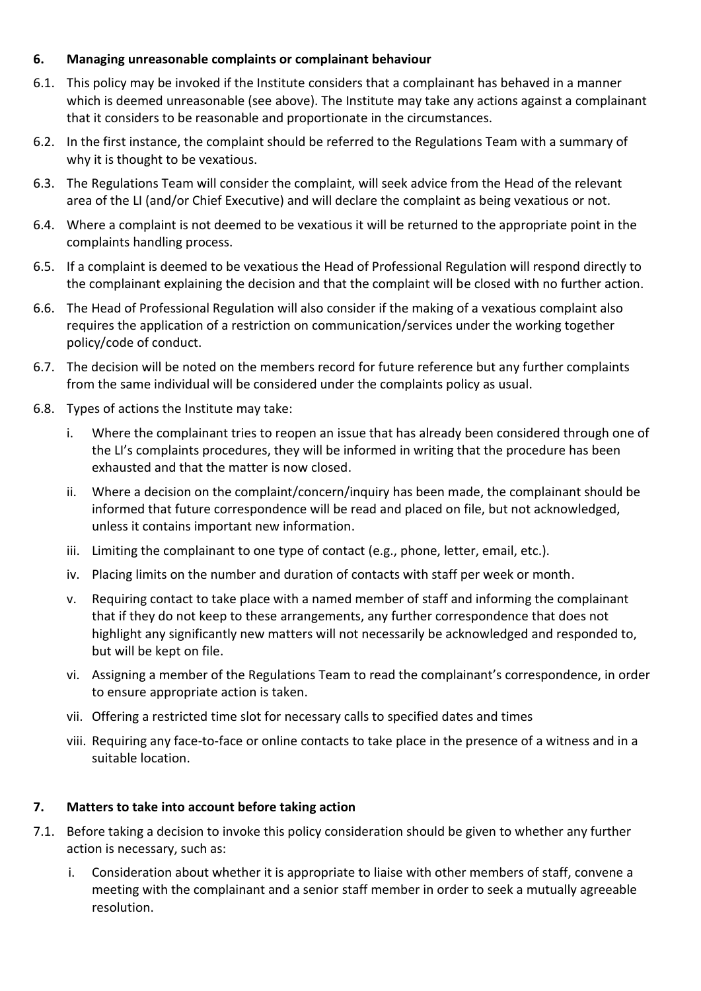# **6. Managing unreasonable complaints or complainant behaviour**

- 6.1. This policy may be invoked if the Institute considers that a complainant has behaved in a manner which is deemed unreasonable (see above). The Institute may take any actions against a complainant that it considers to be reasonable and proportionate in the circumstances.
- 6.2. In the first instance, the complaint should be referred to the Regulations Team with a summary of why it is thought to be vexatious.
- 6.3. The Regulations Team will consider the complaint, will seek advice from the Head of the relevant area of the LI (and/or Chief Executive) and will declare the complaint as being vexatious or not.
- 6.4. Where a complaint is not deemed to be vexatious it will be returned to the appropriate point in the complaints handling process.
- 6.5. If a complaint is deemed to be vexatious the Head of Professional Regulation will respond directly to the complainant explaining the decision and that the complaint will be closed with no further action.
- 6.6. The Head of Professional Regulation will also consider if the making of a vexatious complaint also requires the application of a restriction on communication/services under the working together policy/code of conduct.
- 6.7. The decision will be noted on the members record for future reference but any further complaints from the same individual will be considered under the complaints policy as usual.
- 6.8. Types of actions the Institute may take:
	- i. Where the complainant tries to reopen an issue that has already been considered through one of the LI's complaints procedures, they will be informed in writing that the procedure has been exhausted and that the matter is now closed.
	- ii. Where a decision on the complaint/concern/inquiry has been made, the complainant should be informed that future correspondence will be read and placed on file, but not acknowledged, unless it contains important new information.
	- iii. Limiting the complainant to one type of contact (e.g., phone, letter, email, etc.).
	- iv. Placing limits on the number and duration of contacts with staff per week or month.
	- v. Requiring contact to take place with a named member of staff and informing the complainant that if they do not keep to these arrangements, any further correspondence that does not highlight any significantly new matters will not necessarily be acknowledged and responded to, but will be kept on file.
	- vi. Assigning a member of the Regulations Team to read the complainant's correspondence, in order to ensure appropriate action is taken.
	- vii. Offering a restricted time slot for necessary calls to specified dates and times
	- viii. Requiring any face-to-face or online contacts to take place in the presence of a witness and in a suitable location.

#### **7. Matters to take into account before taking action**

- 7.1. Before taking a decision to invoke this policy consideration should be given to whether any further action is necessary, such as:
	- i. Consideration about whether it is appropriate to liaise with other members of staff, convene a meeting with the complainant and a senior staff member in order to seek a mutually agreeable resolution.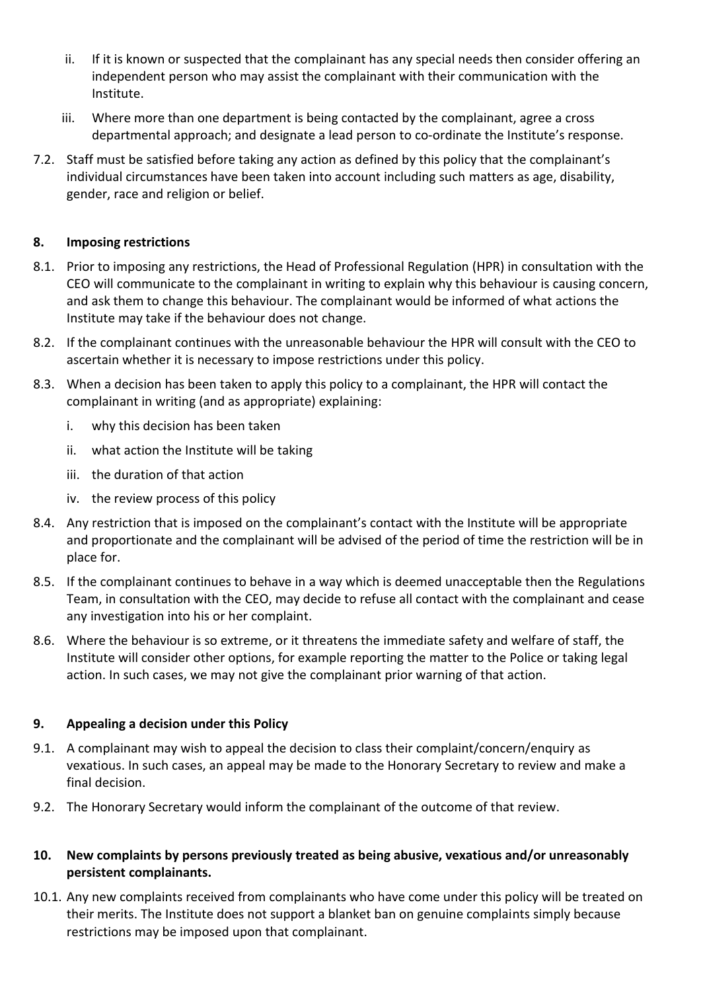- ii. If it is known or suspected that the complainant has any special needs then consider offering an independent person who may assist the complainant with their communication with the Institute.
- iii. Where more than one department is being contacted by the complainant, agree a cross departmental approach; and designate a lead person to co-ordinate the Institute's response.
- 7.2. Staff must be satisfied before taking any action as defined by this policy that the complainant's individual circumstances have been taken into account including such matters as age, disability, gender, race and religion or belief.

# **8. Imposing restrictions**

- 8.1. Prior to imposing any restrictions, the Head of Professional Regulation (HPR) in consultation with the CEO will communicate to the complainant in writing to explain why this behaviour is causing concern, and ask them to change this behaviour. The complainant would be informed of what actions the Institute may take if the behaviour does not change.
- 8.2. If the complainant continues with the unreasonable behaviour the HPR will consult with the CEO to ascertain whether it is necessary to impose restrictions under this policy.
- 8.3. When a decision has been taken to apply this policy to a complainant, the HPR will contact the complainant in writing (and as appropriate) explaining:
	- i. why this decision has been taken
	- ii. what action the Institute will be taking
	- iii. the duration of that action
	- iv. the review process of this policy
- 8.4. Any restriction that is imposed on the complainant's contact with the Institute will be appropriate and proportionate and the complainant will be advised of the period of time the restriction will be in place for.
- 8.5. If the complainant continues to behave in a way which is deemed unacceptable then the Regulations Team, in consultation with the CEO, may decide to refuse all contact with the complainant and cease any investigation into his or her complaint.
- 8.6. Where the behaviour is so extreme, or it threatens the immediate safety and welfare of staff, the Institute will consider other options, for example reporting the matter to the Police or taking legal action. In such cases, we may not give the complainant prior warning of that action.

#### **9. Appealing a decision under this Policy**

- 9.1. A complainant may wish to appeal the decision to class their complaint/concern/enquiry as vexatious. In such cases, an appeal may be made to the Honorary Secretary to review and make a final decision.
- 9.2. The Honorary Secretary would inform the complainant of the outcome of that review.
- **10. New complaints by persons previously treated as being abusive, vexatious and/or unreasonably persistent complainants.**
- 10.1. Any new complaints received from complainants who have come under this policy will be treated on their merits. The Institute does not support a blanket ban on genuine complaints simply because restrictions may be imposed upon that complainant.